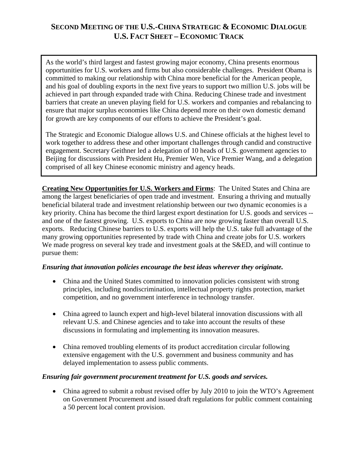# **SECOND MEETING OF THE U.S.-CHINA STRATEGIC & ECONOMIC DIALOGUE U.S. FACT SHEET – ECONOMIC TRACK**

As the world's third largest and fastest growing major economy, China presents enormous opportunities for U.S. workers and firms but also considerable challenges. President Obama is committed to making our relationship with China more beneficial for the American people, and his goal of doubling exports in the next five years to support two million U.S. jobs will be achieved in part through expanded trade with China. Reducing Chinese trade and investment barriers that create an uneven playing field for U.S. workers and companies and rebalancing to ensure that major surplus economies like China depend more on their own domestic demand for growth are key components of our efforts to achieve the President's goal.

The Strategic and Economic Dialogue allows U.S. and Chinese officials at the highest level to work together to address these and other important challenges through candid and constructive engagement. Secretary Geithner led a delegation of 10 heads of U.S. government agencies to Beijing for discussions with President Hu, Premier Wen, Vice Premier Wang, and a delegation comprised of all key Chinese economic ministry and agency heads.

**Creating New Opportunities for U.S. Workers and Firms**: The United States and China are among the largest beneficiaries of open trade and investment. Ensuring a thriving and mutually beneficial bilateral trade and investment relationship between our two dynamic economies is a key priority. China has become the third largest export destination for U.S. goods and services - and one of the fastest growing. U.S. exports to China are now growing faster than overall U.S. exports. Reducing Chinese barriers to U.S. exports will help the U.S. take full advantage of the many growing opportunities represented by trade with China and create jobs for U.S. workers We made progress on several key trade and investment goals at the S&ED, and will continue to pursue them:

## *Ensuring that innovation policies encourage the best ideas wherever they originate.*

- China and the United States committed to innovation policies consistent with strong principles, including nondiscrimination, intellectual property rights protection, market competition, and no government interference in technology transfer.
- China agreed to launch expert and high-level bilateral innovation discussions with all relevant U.S. and Chinese agencies and to take into account the results of these discussions in formulating and implementing its innovation measures.
- China removed troubling elements of its product accreditation circular following extensive engagement with the U.S. government and business community and has delayed implementation to assess public comments.

## *Ensuring fair government procurement treatment for U.S. goods and services.*

• China agreed to submit a robust revised offer by July 2010 to join the WTO's Agreement on Government Procurement and issued draft regulations for public comment containing a 50 percent local content provision.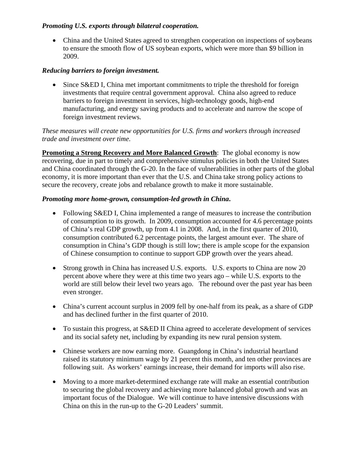## *Promoting U.S. exports through bilateral cooperation.*

• China and the United States agreed to strengthen cooperation on inspections of soybeans to ensure the smooth flow of US soybean exports, which were more than \$9 billion in 2009.

# *Reducing barriers to foreign investment.*

• Since S&ED I, China met important commitments to triple the threshold for foreign investments that require central government approval. China also agreed to reduce barriers to foreign investment in services, high-technology goods, high-end manufacturing, and energy saving products and to accelerate and narrow the scope of foreign investment reviews.

## *These measures will create new opportunities for U.S. firms and workers through increased trade and investment over time.*

**Promoting a Strong Recovery and More Balanced Growth**: The global economy is now recovering, due in part to timely and comprehensive stimulus policies in both the United States and China coordinated through the G-20. In the face of vulnerabilities in other parts of the global economy, it is more important than ever that the U.S. and China take strong policy actions to secure the recovery, create jobs and rebalance growth to make it more sustainable.

## *Promoting more home-grown, consumption-led growth in China***.**

- Following S&ED I, China implemented a range of measures to increase the contribution of consumption to its growth. In 2009, consumption accounted for 4.6 percentage points of China's real GDP growth, up from 4.1 in 2008. And, in the first quarter of 2010, consumption contributed 6.2 percentage points, the largest amount ever. The share of consumption in China's GDP though is still low; there is ample scope for the expansion of Chinese consumption to continue to support GDP growth over the years ahead.
- Strong growth in China has increased U.S. exports. U.S. exports to China are now 20 percent above where they were at this time two years ago – while U.S. exports to the world are still below their level two years ago. The rebound over the past year has been even stronger.
- China's current account surplus in 2009 fell by one-half from its peak, as a share of GDP and has declined further in the first quarter of 2010.
- To sustain this progress, at S&ED II China agreed to accelerate development of services and its social safety net, including by expanding its new rural pension system.
- Chinese workers are now earning more. Guangdong in China's industrial heartland raised its statutory minimum wage by 21 percent this month, and ten other provinces are following suit. As workers' earnings increase, their demand for imports will also rise.
- Moving to a more market-determined exchange rate will make an essential contribution to securing the global recovery and achieving more balanced global growth and was an important focus of the Dialogue. We will continue to have intensive discussions with China on this in the run-up to the G-20 Leaders' summit.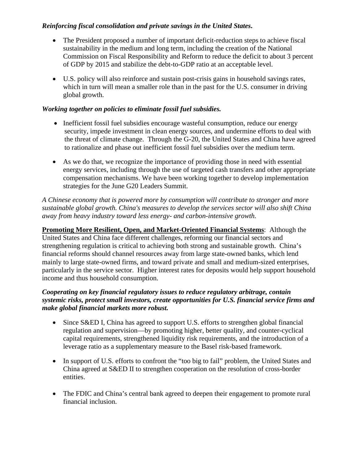# *Reinforcing fiscal consolidation and private savings in the United States***.**

- The President proposed a number of important deficit-reduction steps to achieve fiscal sustainability in the medium and long term, including the creation of the National Commission on Fiscal Responsibility and Reform to reduce the deficit to about 3 percent of GDP by 2015 and stabilize the debt-to-GDP ratio at an acceptable level.
- U.S. policy will also reinforce and sustain post-crisis gains in household savings rates, which in turn will mean a smaller role than in the past for the U.S. consumer in driving global growth.

# *Working together on policies to eliminate fossil fuel subsidies.*

- Inefficient fossil fuel subsidies encourage wasteful consumption, reduce our energy security, impede investment in clean energy sources, and undermine efforts to deal with the threat of climate change. Through the G-20, the United States and China have agreed to rationalize and phase out inefficient fossil fuel subsidies over the medium term.
- As we do that, we recognize the importance of providing those in need with essential energy services, including through the use of targeted cash transfers and other appropriate compensation mechanisms. We have been working together to develop implementation strategies for the June G20 Leaders Summit.

*A Chinese economy that is powered more by consumption will contribute to stronger and more sustainable global growth. China's measures to develop the services sector will also shift China away from heavy industry toward less energy- and carbon-intensive growth.* 

**Promoting More Resilient, Open, and Market-Oriented Financial Systems**: Although the United States and China face different challenges, reforming our financial sectors and strengthening regulation is critical to achieving both strong and sustainable growth. China's financial reforms should channel resources away from large state-owned banks, which lend mainly to large state-owned firms, and toward private and small and medium-sized enterprises, particularly in the service sector. Higher interest rates for deposits would help support household income and thus household consumption.

#### *Cooperating on key financial regulatory issues to reduce regulatory arbitrage, contain systemic risks, protect small investors, create opportunities for U.S. financial service firms and make global financial markets more robust.*

- Since S&ED I, China has agreed to support U.S. efforts to strengthen global financial regulation and supervision—by promoting higher, better quality, and counter-cyclical capital requirements, strengthened liquidity risk requirements, and the introduction of a leverage ratio as a supplementary measure to the Basel risk-based framework.
- In support of U.S. efforts to confront the "too big to fail" problem, the United States and China agreed at S&ED II to strengthen cooperation on the resolution of cross-border entities.
- The FDIC and China's central bank agreed to deepen their engagement to promote rural financial inclusion.